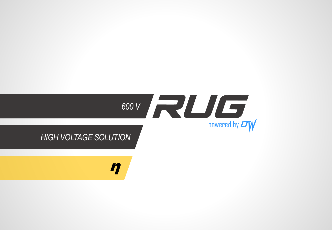

η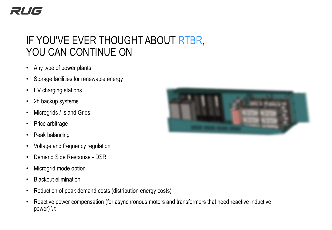## IF YOU'VE EVER THOUGHT ABOUT RTBR, YOU CAN CONTINUE ON

- Any type of power plants
- Storage facilities for renewable energy
- EV charging stations
- 2h backup systems
- Microgrids / Island Grids
- Price arbitrage
- Peak balancing
- Voltage and frequency regulation
- Demand Side Response DSR
- Microgrid mode option
- Blackout elimination
- Reduction of peak demand costs (distribution energy costs)
- Reactive power compensation (for asynchronous motors and transformers that need reactive inductive power) \ t

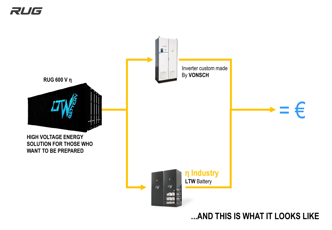

**...AND THIS IS WHAT IT LOOKS LIKE**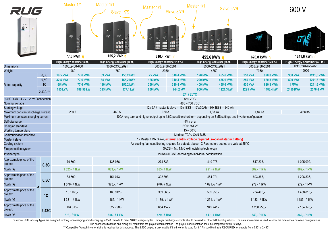| RUG                                                           |          | Master 1/1                                                                                                                     |           | Master 1/1                     |                                       | Master 1/1                                                                           |                                                                                                                      | Master 1/1<br>Slave 5/79                         |                                |                 |                                |                |                                |  |  |
|---------------------------------------------------------------|----------|--------------------------------------------------------------------------------------------------------------------------------|-----------|--------------------------------|---------------------------------------|--------------------------------------------------------------------------------------|----------------------------------------------------------------------------------------------------------------------|--------------------------------------------------|--------------------------------|-----------------|--------------------------------|----------------|--------------------------------|--|--|
|                                                               |          |                                                                                                                                |           | <b>Slave 1/79</b>              |                                       | Slave 3/79                                                                           |                                                                                                                      |                                                  |                                |                 | 600 V                          |                |                                |  |  |
| $\blacksquare$<br>$\frac{A}{B}$                               |          | <b>LTW</b>                                                                                                                     |           | <b>LTW</b>                     | <b>LTW</b><br>rr<br>ra<br><b>FINE</b> | 7 E T<br><u>اتل</u><br>اتاتا<br>اقرا<br>rr<br>أتقالأ                                 | rer                                                                                                                  |                                                  |                                | ΔV              |                                |                |                                |  |  |
|                                                               |          | 77,6 kWh n                                                                                                                     |           | 155,2 kWh n                    |                                       | 310,4 kWh n                                                                          |                                                                                                                      |                                                  | 455,6 kWh n                    |                 | 620,8 kWh n                    |                | 1241,6 kWh n                   |  |  |
|                                                               |          | High-Energy container (8 ft.)                                                                                                  |           | High-Energy container (10 ft.) |                                       | High-Energy container (12 ft.)                                                       |                                                                                                                      |                                                  | High-Energy container (16 ft.) |                 | High-Energy container (20 ft.) |                | High-Energy container (40 ft.) |  |  |
| <b>Dimensions</b>                                             |          | 1600x2408x800                                                                                                                  |           | 3030x2438x2891                 |                                       | 3636x2438x2891                                                                       |                                                                                                                      |                                                  | 6058x2438x2891                 |                 | 6058x2438x2891                 |                | 12116x4876x5782                |  |  |
| Weight                                                        |          | 980                                                                                                                            |           | 1750                           |                                       | 2980                                                                                 |                                                                                                                      |                                                  | 4850                           |                 | 7950                           |                | 15900                          |  |  |
|                                                               | 0,3C     | 19,5 kVA                                                                                                                       | 77,6 kWh  | <b>39 kVA</b>                  | 155,2 kWh                             | <b>75 kVA</b>                                                                        | 310,4 kWh                                                                                                            | <b>120 kVA</b>                                   | 455,6 kWh                      | <b>150 kVA</b>  | 620,8 kWh                      | <b>300 kVA</b> | 1241,6 kWh                     |  |  |
|                                                               | 0,5C     | 32,5 kVA                                                                                                                       | 77,6 kWh  | <b>65 kVA</b>                  | 155,2 kWh                             | <b>125 kVA</b>                                                                       | 310,4 kWh                                                                                                            | <b>200 kVA</b>                                   | 455,6 kWh                      | <b>250 kVA</b>  | 620,8 kWh                      | <b>500 kVA</b> | 1241,6 kWh                     |  |  |
| Rated capacity                                                | 1C       | <b>65 kVA</b>                                                                                                                  | 77,6 kWh  | <b>130 kVA</b>                 | 155,2 kWh                             | <b>250 kVA</b>                                                                       | 310,4 kWh                                                                                                            | <b>400 kVA</b>                                   | 455,6 kWh                      | <b>500 kVA</b>  | 620,8 kWh                      | 1 MVA          | 1241,6 kWh                     |  |  |
|                                                               | 2.43C*** | <b>155 kVA</b>                                                                                                                 | 188,56 kW | 315 kVA                        | 377,1 kW                              | <b>600 kVA</b>                                                                       | 744,2 kW                                                                                                             | <b>900 kVA</b>                                   | 1121,3 kW                      | <b>1225 kVA</b> | 1488,4 kW                      | 2450 KVA       | 2576,4 kW                      |  |  |
|                                                               |          |                                                                                                                                |           |                                |                                       |                                                                                      |                                                                                                                      | 24' / 25°C                                       |                                |                 |                                |                |                                |  |  |
| 100% DOD - 4.2V2.7V / connection                              |          |                                                                                                                                |           |                                |                                       |                                                                                      |                                                                                                                      | 660 VDC<br>486-756 VDC                           |                                |                 |                                |                |                                |  |  |
| Nominal voltage                                               |          |                                                                                                                                |           |                                |                                       |                                                                                      |                                                                                                                      |                                                  |                                |                 |                                |                |                                |  |  |
| <b>Starting voltage</b><br>Maximum constant discharge current |          | 12 / 3A / master & slave = 10x IESS = 12V/30Ah = 80x IESS = 240 Ah<br>230 A<br>460 A<br>920 A<br>1,84 kA<br>3,68 kA<br>1,38 kA |           |                                |                                       |                                                                                      |                                                                                                                      |                                                  |                                |                 |                                |                |                                |  |  |
| Maximum constant charging current                             |          |                                                                                                                                |           |                                |                                       |                                                                                      | 100A long term and higher output up to 1.6C possible short term depending on BMS settings and inverter configuration |                                                  |                                |                 |                                |                |                                |  |  |
| Self discharge                                                |          |                                                                                                                                |           |                                |                                       |                                                                                      |                                                                                                                      | $-1\%$ / p. a.                                   |                                |                 |                                |                |                                |  |  |
| Charging standard                                             |          |                                                                                                                                |           |                                |                                       |                                                                                      |                                                                                                                      | IEC61851-23                                      |                                |                 |                                |                |                                |  |  |
| Working temperature                                           |          |                                                                                                                                |           |                                |                                       |                                                                                      |                                                                                                                      | $15 - 60^{\circ}$ C                              |                                |                 |                                |                |                                |  |  |
| Communication interface                                       |          |                                                                                                                                |           |                                |                                       |                                                                                      |                                                                                                                      | Modbus TCP / CAN-BUS                             |                                |                 |                                |                |                                |  |  |
| Master / slave                                                |          |                                                                                                                                |           |                                |                                       | 1x Master / 79x Slave, external control voltage required (so-called starter battery) |                                                                                                                      |                                                  |                                |                 |                                |                |                                |  |  |
| Cooling system                                                |          | Air cooling / air-conditioning required for outputs above 1C Parameters quoted are valid at 25°C                               |           |                                |                                       |                                                                                      |                                                                                                                      |                                                  |                                |                 |                                |                |                                |  |  |
| Fire protection system                                        |          | SACS - 1st. NMC extinguishing technology                                                                                       |           |                                |                                       |                                                                                      |                                                                                                                      |                                                  |                                |                 |                                |                |                                |  |  |
| Inverter type                                                 |          |                                                                                                                                |           |                                |                                       |                                                                                      |                                                                                                                      | VONSCH GSE according to individual configuration |                                |                 |                                |                |                                |  |  |
| Approximate price of the<br>project:                          | 0,3C     | 79 500,-                                                                                                                       |           | 136 956,-                      |                                       | 274 533,-                                                                            |                                                                                                                      |                                                  | 419 978,-                      | 547 203,-       |                                | 1 095 092,-    |                                |  |  |
| 1kWh / $∈$                                                    |          | 1 025,-/1kW                                                                                                                    |           | 883,-/1kW                      |                                       | 885,-/1kW                                                                            |                                                                                                                      |                                                  | 921,-/1kW                      | 882,-/1kW       |                                | 882,-/1kW      |                                |  |  |
| Approximate price of the<br>project:                          | 0,5C     | 83 500,-                                                                                                                       |           | 151 043,-                      |                                       | 302 893,-                                                                            |                                                                                                                      |                                                  | 464 971,-                      |                 | 603 363,-                      |                | 1 206 836 .-                   |  |  |
| 1kWh / $€$                                                    |          | 1076,-/1kW                                                                                                                     |           | 973,-/1kW                      |                                       | 976,-/1kW                                                                            |                                                                                                                      |                                                  | $1021 - 11$ kW                 | 972,-/1kW       |                                | 972,-/1kW      |                                |  |  |
| Approximate price of the<br>project:                          | €<br>1C  | 107 166,-                                                                                                                      |           | 183 912,-                      |                                       |                                                                                      | 369 066,-                                                                                                            |                                                  | 569 956,-                      |                 | 734 406,-                      |                | 1468 813,-                     |  |  |
| 1kWh / $€$                                                    |          | 1 381,-/1kW                                                                                                                    |           | 1 185,-/1kW                    |                                       | 1 189,-/1 kW                                                                         |                                                                                                                      |                                                  | 1 251,-/1kW                    |                 | 1 183,-/1kW                    |                | 1 183,-/1kW                    |  |  |
| Approximate price of the<br>project:                          | 2,43C    | 164 613,-                                                                                                                      |           | 322 798,-                      |                                       | 654 152,-                                                                            |                                                                                                                      |                                                  | 949 741,-                      | 1 250 256 .-    |                                | 2 164 176 -    |                                |  |  |
| 1kWh / $€$                                                    |          | 873,-/1kW                                                                                                                      |           | 856,-/1 kW                     |                                       | 879,-/1kW                                                                            |                                                                                                                      |                                                  | 847,-/1kW                      | 840,-/1kW       |                                | 840,-/1kW      |                                |  |  |

The above RUG Industry types are designed for long term charging and discharging in 2.43 C mode to meet 10,000 charge cycles. Stronger discharge currents should be used for other RUG configurations. The data shown here is

The exact specifications and sizing will result from the project documentation The project documentation must be completed within 30 days.

\*\*\* Compatible Vonsch inverter sizing is required for this purpose. The 2.43C output is only usable if the inverter is sized for it. \* Air conditioning is REQUIRED for outputs from 0.8C to 2.43C!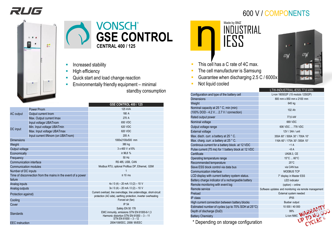## RUG

# $0.99$  $\frac{\Delta \pi}{\Theta \pi}$ -8



- Increased stability
- High efficiency
- Quick start and load change reaction
- Environmentally friendly equipment minimal standby consumption

|                         |                                                              | <b>GSE CONTROL 400 / 125</b>                                                                                                            |  |  |  |  |
|-------------------------|--------------------------------------------------------------|-----------------------------------------------------------------------------------------------------------------------------------------|--|--|--|--|
|                         | <b>Power Pnom</b>                                            | 125 kVA                                                                                                                                 |  |  |  |  |
| <b>AC</b> output        | Output current Inom                                          | 180 A                                                                                                                                   |  |  |  |  |
|                         | Max. Output current Imax                                     | 270 A                                                                                                                                   |  |  |  |  |
| DC input                | Input voltage UBATnom                                        | 650 VDC                                                                                                                                 |  |  |  |  |
|                         | Min. Input voltage UBATmin                                   | 620 VDC                                                                                                                                 |  |  |  |  |
|                         | Max. Input voltage UBATmax                                   | 820 VDC                                                                                                                                 |  |  |  |  |
|                         | Input current IINnom (on UBATnom)                            | 205 A                                                                                                                                   |  |  |  |  |
| <b>Dimensions</b>       |                                                              | 1000x2100x500 mm                                                                                                                        |  |  |  |  |
| Weight                  |                                                              | 380 kg                                                                                                                                  |  |  |  |  |
| Output voltage          |                                                              | $3 \times 400 \text{ V} \pm 10\%$                                                                                                       |  |  |  |  |
| Economically            |                                                              | $\geq 96.8 \%$                                                                                                                          |  |  |  |  |
| Frequency               |                                                              | 50 Hz                                                                                                                                   |  |  |  |  |
| Communication interface |                                                              | RS 485, USB, CAN                                                                                                                        |  |  |  |  |
| Communication modules   |                                                              | Modbus RTU, optional Profibus DP, Ethernet, GSM                                                                                         |  |  |  |  |
| Number of DC inputs     |                                                              |                                                                                                                                         |  |  |  |  |
| failure                 | Time of disconnection from the mains in the event of a power | $\leq 10$ ms                                                                                                                            |  |  |  |  |
| Analog inputs           |                                                              | $4x/0$ (4) – 20 mA / 0 (2) – 10 V                                                                                                       |  |  |  |  |
| Analog outputs          |                                                              | $3x / 0$ (4) - 20 mA / 0 (2) - 10 V                                                                                                     |  |  |  |  |
| Protection against)     |                                                              | Current overload, line overvoltage, line undervoltage, short-circuit<br>protection (AC side), earthing protection, inverter overheating |  |  |  |  |
| Cooling                 |                                                              | Forced air (fan)                                                                                                                        |  |  |  |  |
| Cover                   |                                                              | IP 54                                                                                                                                   |  |  |  |  |
| <b>Standards</b>        |                                                              | Safety EN 50 178<br>EMC immunity, emissions STN EN 61000-6-1,3<br>Harmonic distortion STN EN 61000 - 3 - 11<br>STN EN 61000 - 3 - 12    |  |  |  |  |
| <b>EEC</b> instruction  |                                                              | 2004/108/EEC, 2006/ 95/EEC                                                                                                              |  |  |  |  |



- **E** This cell has a C rate of 4C max.
- **The cell manufacturer is Samsung**
- Guarantee when discharging 2.5 C / 6000x
- Not liquid cooled

|                                                     | LTW-INDUSTRIAL-IESS 77,6 kWh                          |
|-----------------------------------------------------|-------------------------------------------------------|
| Configuration and type of the battery cell          | Li-ion 180S02P (15 moduls 12S02P)                     |
| <b>Dimensions</b>                                   | 800 mm x 850 mm x 2100 mm                             |
| Weight                                              | 645 kg                                                |
| Nominal capacity at 25 ° C, min (min)               | 102 Ah                                                |
| (100% DOD - 4.2 V  2.7 V / connection)              |                                                       |
| Rated output power                                  | 77,6 kW                                               |
| Nominal voltage                                     | 669 VDC                                               |
| Output voltage range                                | 606 VDC  778 VDC                                      |
| <b>External voltage</b>                             | 12V / 3Ah / unit                                      |
| Max. disch. curr. a battery at 25 ° C.              | 350A 60" / 500A 30" / 700A 10"                        |
| Max. charg. curr. a battery at 25 ° C.              | 116A 60" / 175A 30" /350A 10"                         |
| Continous current for a battery block. at 12 VDC    | ~1A                                                   |
| Pulse current (75 ms) for 1 battery block at 12 VDC | $-8A$                                                 |
| Certificate                                         | <b>UN38.3, CE</b>                                     |
| Operating temperature range                         | 15°C  60°C                                            |
| Recommended temperature                             | $25^{\circ}$ C                                        |
| Slave ESS block control via data bus                | via CAN bus                                           |
| Communication interface                             | <b>MODBUS TCP</b>                                     |
| LCD display with current battery system status.     | 7" display in Master ESS                              |
| Battery charge indicator of a rechargeable battery  | <b>LED</b> indicator                                  |
| Remote monitoring with event log                    | (option) - online                                     |
| Remote service                                      | Software updates and monitoring via remote management |
| Preload                                             | External system needed                                |
| IP class                                            | <b>IP55</b>                                           |
| High current connection between battery blocks      | Busbar output                                         |
| Estimated number of cycles (up to 70% SOH at 25°C)  | 10 000 / 40 000                                       |
| Depth of discharge (DoD)                            |                                                       |
| <b>Battery Chemistry</b>                            |                                                       |
| * Depending on storage configuration                | Li-ion NMC WARRANTY                                   |



#### 600 V / COMPONENTS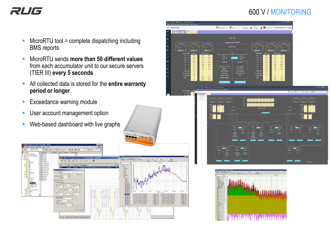## RUG

#### 600 V / MONITORING

- $MicroRTU$  tool = complete dispatching including BMS reports
- MicroRTU sends **more than 50 different values** from each accumulator unit to our secure servers (TIER III) **every 5 seconds**
- All collected data is stored for the entire warranty **period or longer**.
- **Exceedance warning module**
- **■** User account management option
- **E** Web-based dashboard with live graphs



![](_page_5_Figure_9.jpeg)

![](_page_5_Figure_10.jpeg)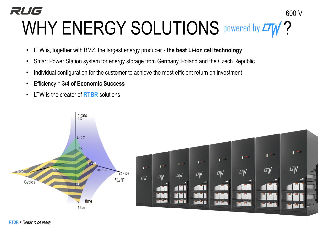### RUG 600 V WHY ENERGY SOLUTIONS **POWEred by LTW?**

- LTW is, together with BMZ, the largest energy producer **the best Li-ion cell technology**
- Smart Power Station system for energy storage from Germany, Poland and the Czech Republic
- Individual configuration for the customer to achieve the most efficient return on investment
- Efficiency = **3/4 of Economic Success**
- LTW is the creator of **RTBR** solutions

![](_page_6_Figure_6.jpeg)